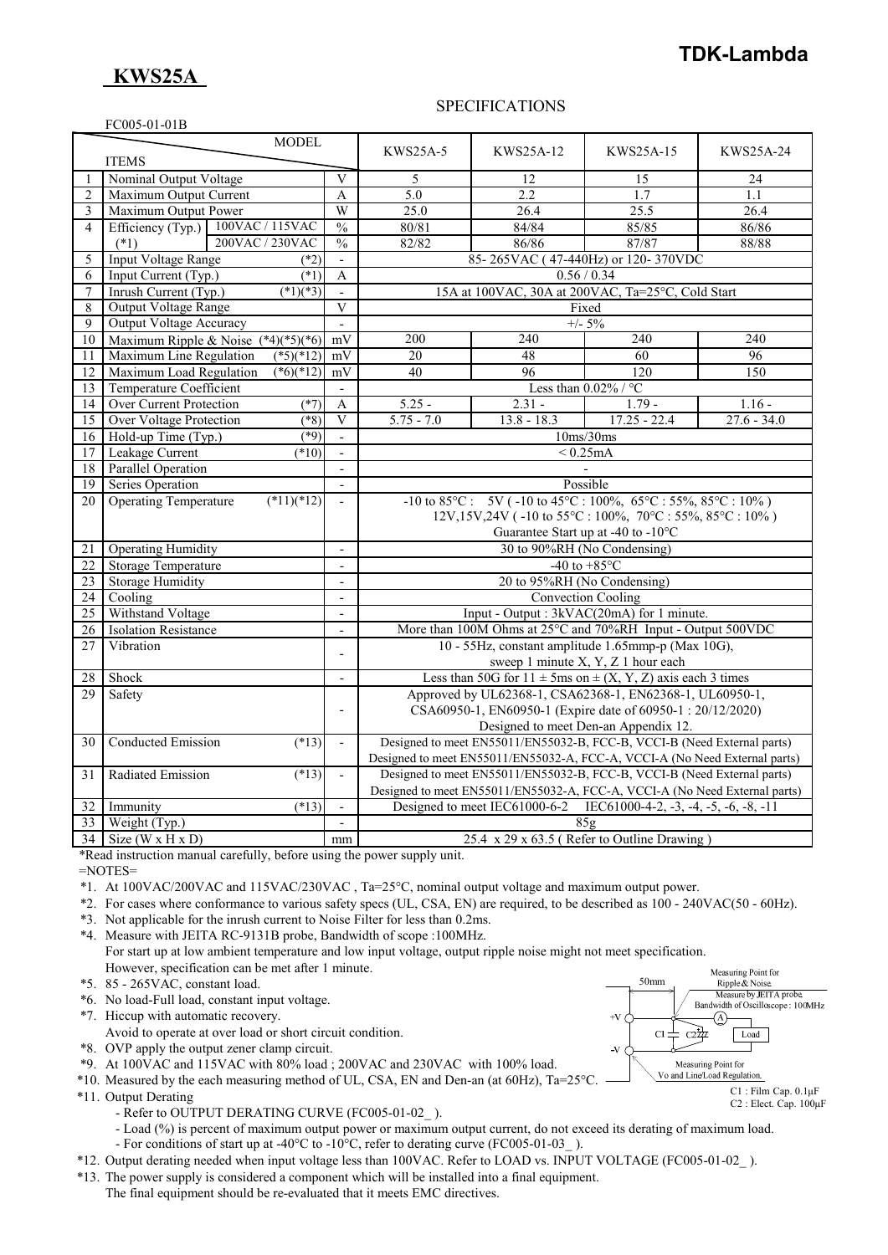### **TDK-Lambda**

# **KWS25A**

FC005-01-01B

#### SPECIFICATIONS

|                 | $000 - 01 - 01$<br><b>MODEL</b>              |                                    |                                                                                                                      |               |                                                                            |               |
|-----------------|----------------------------------------------|------------------------------------|----------------------------------------------------------------------------------------------------------------------|---------------|----------------------------------------------------------------------------|---------------|
|                 | <b>ITEMS</b>                                 |                                    | <b>KWS25A-5</b>                                                                                                      | KWS25A-12     | KWS25A-15                                                                  | KWS25A-24     |
| -1              | Nominal Output Voltage                       | $\overline{V}$                     | 5                                                                                                                    | 12            | 15                                                                         | 24            |
| $\overline{2}$  | Maximum Output Current                       | A                                  | 5.0                                                                                                                  | 2.2           | 1.7                                                                        | 1.1           |
| $\overline{3}$  | Maximum Output Power                         | W                                  | 25.0                                                                                                                 | 26.4          | 25.5                                                                       | 26.4          |
| $\overline{4}$  | 100VAC / 115VAC<br>Efficiency (Typ.)         | $\frac{0}{0}$                      | 80/81                                                                                                                | 84/84         | 85/85                                                                      | 86/86         |
|                 | 200VAC / 230VAC<br>$(*1)$                    | $\overline{\frac{0}{0}}$           | 82/82                                                                                                                | 86/86         | 87/87                                                                      | 88/88         |
| 5               | <b>Input Voltage Range</b>                   | $(*2)$<br>$\overline{\phantom{m}}$ | 85-265VAC (47-440Hz) or 120-370VDC                                                                                   |               |                                                                            |               |
| 6               | Input Current (Typ.)                         | $(*1)$<br>A                        | 0.56 / 0.34                                                                                                          |               |                                                                            |               |
| $\overline{7}$  | Inrush Current (Typ.)<br>$(*1)(*3)$          | $\blacksquare$                     | 15A at 100VAC, 30A at 200VAC, Ta=25°C, Cold Start                                                                    |               |                                                                            |               |
| 8               | <b>Output Voltage Range</b>                  | $\overline{V}$                     | Fixed                                                                                                                |               |                                                                            |               |
| 9               | <b>Output Voltage Accuracy</b>               | $\blacksquare$                     | $+/- 5\%$                                                                                                            |               |                                                                            |               |
| 10              | Maximum Ripple & Noise $(*4)(*5)(*6)$        | mV                                 | 200                                                                                                                  | 240           | 240                                                                        | 240           |
| 11              | Maximum Line Regulation<br>$(*5)(*12)$       | mV                                 | 20                                                                                                                   | 48            | 60                                                                         | 96            |
| 12              | Maximum Load Regulation<br>$(*6)(*12)$       | mV                                 | 40                                                                                                                   | 96            | 120                                                                        | 150           |
| $\overline{13}$ | <b>Temperature Coefficient</b>               | $\overline{a}$                     | Less than $0.02\%$ / °C                                                                                              |               |                                                                            |               |
| 14              | <b>Over Current Protection</b>               | $(*7)$<br>A                        | $5.25 -$                                                                                                             | $2.31 -$      | $1.79 -$                                                                   | $1.16 -$      |
| 15              | Over Voltage Protection                      | (8)<br>$\mathbf{V}$                | $5.75 - 7.0$                                                                                                         | $13.8 - 18.3$ | $17.25 - 22.4$                                                             | $27.6 - 34.0$ |
| 16              | Hold-up Time (Typ.)                          | (89)<br>$\overline{\phantom{a}}$   | 10ms/30ms                                                                                                            |               |                                                                            |               |
| 17              | Leakage Current<br>(10)                      | $\overline{a}$                     | < 0.25mA                                                                                                             |               |                                                                            |               |
| 18              | <b>Parallel Operation</b>                    | $\blacksquare$                     |                                                                                                                      |               |                                                                            |               |
| 19              | Series Operation                             | $\overline{a}$                     | Possible                                                                                                             |               |                                                                            |               |
| 20              | <b>Operating Temperature</b><br>$(*11)(*12)$ |                                    | $-10$ to $85^{\circ}$ C: $5V$ ( $-10$ to $45^{\circ}$ C: $100\%$ , $65^{\circ}$ C: $55\%$ , $85^{\circ}$ C: $10\%$ ) |               |                                                                            |               |
|                 |                                              |                                    | $12V,15V,24V$ (-10 to 55 °C : 100%, 70 °C : 55%, 85 °C : 10%)                                                        |               |                                                                            |               |
|                 |                                              |                                    | Guarantee Start up at -40 to -10 $^{\circ}$ C                                                                        |               |                                                                            |               |
| 21              | <b>Operating Humidity</b>                    | $\overline{\phantom{a}}$           | 30 to 90%RH (No Condensing)                                                                                          |               |                                                                            |               |
| 22              | <b>Storage Temperature</b>                   | $\overline{a}$                     | -40 to $+85^{\circ}$ C                                                                                               |               |                                                                            |               |
| 23              | <b>Storage Humidity</b>                      | $\qquad \qquad \blacksquare$       | 20 to 95%RH (No Condensing)                                                                                          |               |                                                                            |               |
| 24              | Cooling                                      | $\overline{\phantom{a}}$           | Convection Cooling                                                                                                   |               |                                                                            |               |
| 25              | Withstand Voltage                            | $\overline{a}$                     | Input - Output : 3kVAC(20mA) for 1 minute.                                                                           |               |                                                                            |               |
| 26              | <b>Isolation Resistance</b>                  | $\overline{\phantom{a}}$           | More than 100M Ohms at 25°C and 70%RH Input - Output 500VDC                                                          |               |                                                                            |               |
| 27              | Vibration                                    | $\overline{\phantom{a}}$           | 10 - 55Hz, constant amplitude 1.65mmp-p (Max 10G),                                                                   |               |                                                                            |               |
|                 |                                              |                                    | sweep 1 minute X, Y, Z 1 hour each                                                                                   |               |                                                                            |               |
| 28              | Shock                                        | $\overline{\phantom{a}}$           | Less than 50G for $11 \pm 5$ ms on $\pm (X, Y, Z)$ axis each 3 times                                                 |               |                                                                            |               |
| 29              | Safety                                       |                                    |                                                                                                                      |               | Approved by UL62368-1, CSA62368-1, EN62368-1, UL60950-1,                   |               |
|                 |                                              | $\overline{a}$                     | CSA60950-1, EN60950-1 (Expire date of 60950-1: 20/12/2020)                                                           |               |                                                                            |               |
|                 |                                              |                                    |                                                                                                                      |               | Designed to meet Den-an Appendix 12.                                       |               |
| 30              | <b>Conducted Emission</b><br>$(*13)$         | $\mathbf{r}$                       |                                                                                                                      |               | Designed to meet EN55011/EN55032-B, FCC-B, VCCI-B (Need External parts)    |               |
|                 |                                              |                                    |                                                                                                                      |               | Designed to meet EN55011/EN55032-A, FCC-A, VCCI-A (No Need External parts) |               |
| 31              | Radiated Emission<br>(13)                    | $\overline{a}$                     |                                                                                                                      |               | Designed to meet EN55011/EN55032-B, FCC-B, VCCI-B (Need External parts)    |               |
|                 |                                              |                                    |                                                                                                                      |               | Designed to meet EN55011/EN55032-A, FCC-A, VCCI-A (No Need External parts) |               |
| 32              | Immunity<br>$(*13)$                          |                                    | Designed to meet IEC61000-6-2<br>IEC61000-4-2, $-3$ , $-4$ , $-5$ , $-6$ , $-8$ , $-11$                              |               |                                                                            |               |
| 33              | Weight (Typ.)                                | $\overline{\phantom{a}}$           | 85g                                                                                                                  |               |                                                                            |               |
|                 | $34$ Size (W x H x D)                        | mm                                 | 25.4 x 29 x 63.5 (Refer to Outline Drawing)                                                                          |               |                                                                            |               |

\*Read instruction manual carefully, before using the power supply unit.

=NOTES=

- \*1. At 100VAC/200VAC and 115VAC/230VAC , Ta=25°C, nominal output voltage and maximum output power.
- \*2. For cases where conformance to various safety specs (UL, CSA, EN) are required, to be described as 100 240VAC(50 60Hz).
- \*3. Not applicable for the inrush current to Noise Filter for less than 0.2ms.
- \*4. Measure with JEITA RC-9131B probe, Bandwidth of scope :100MHz. For start up at low ambient temperature and low input voltage, output ripple noise might not meet specification. However, specification can be met after 1 minute.
- \*5. 85 265VAC, constant load.
- \*6. No load-Full load, constant input voltage.
- \*7. Hiccup with automatic recovery.
- Avoid to operate at over load or short circuit condition.
- \*8. OVP apply the output zener clamp circuit.
- \*9. At 100VAC and 115VAC with 80% load ; 200VAC and 230VAC with 100% load.
- \*10. Measured by the each measuring method of UL, CSA, EN and Den-an (at 60Hz), Ta=25°C.
- \*11. Output Derating
	- Refer to OUTPUT DERATING CURVE (FC005-01-02).
	- Load (%) is percent of maximum output power or maximum output current, do not exceed its derating of maximum load.
- For conditions of start up at -40°C to -10°C, refer to derating curve (FC005-01-03\_ ).
- \*12. Output derating needed when input voltage less than 100VAC. Refer to LOAD vs. INPUT VOLTAGE (FC005-01-02\_ ).
- \*13. The power supply is considered a component which will be installed into a final equipment.
	- The final equipment should be re-evaluated that it meets EMC directives.



C2 : Elect. Cap. 100μF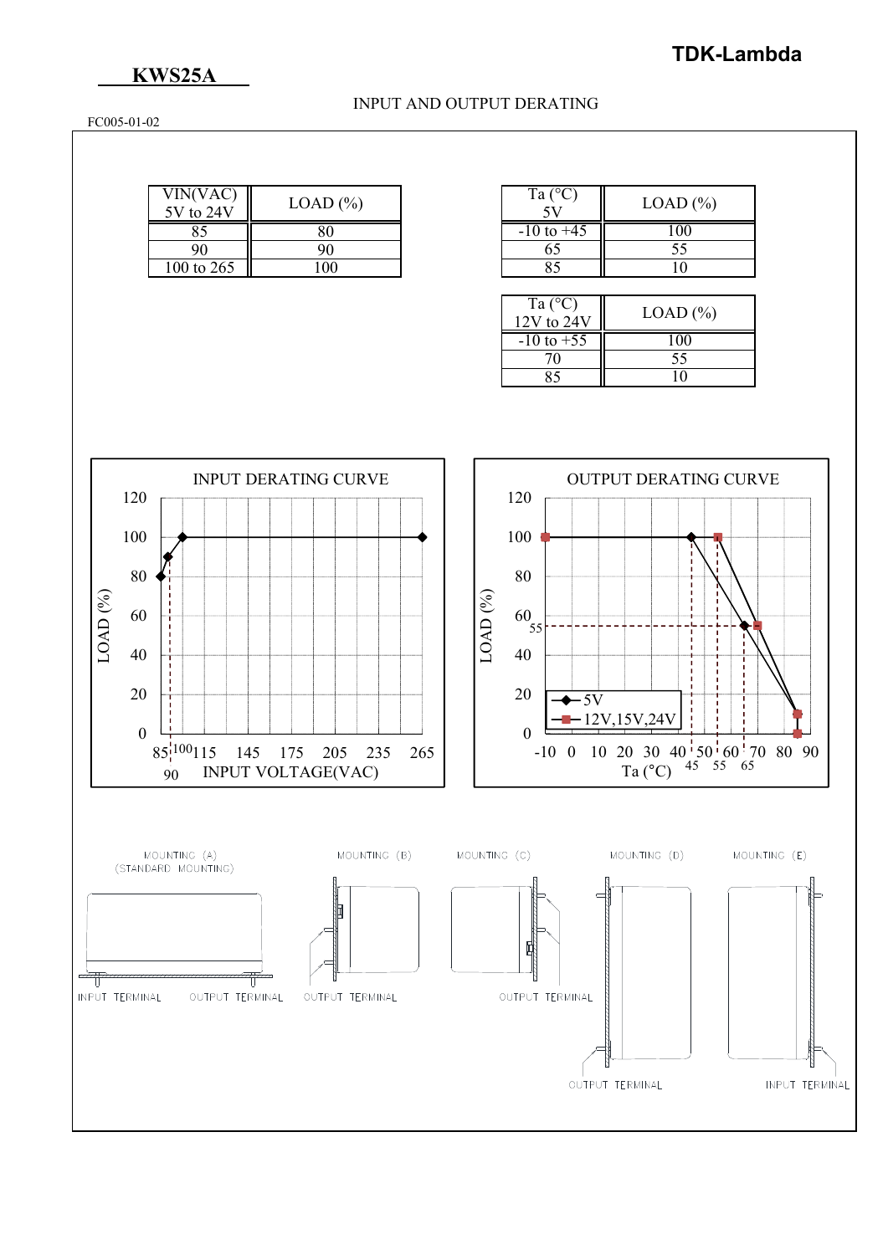## **KWS25A**

#### INPUT AND OUTPUT DERATING

FC005-01-02

| VIN(VAC)<br>$5V$ to $24V$ | LOAD (%) |
|---------------------------|----------|
|                           |          |
| 90                        |          |
| 100 to 265                | ൜        |

| Ta $(^{\circ}C)$ | LOAD (%) |
|------------------|----------|
| $-10$ to $+45$   |          |
| 65               | 55       |
|                  |          |

| Ta $(^{\circ}C)$<br>$12V$ to $24V$ | $LOAD$ $(\% )$ |
|------------------------------------|----------------|
| $-10$ to $+55$                     | 100            |
|                                    | 55             |
|                                    |                |
|                                    |                |